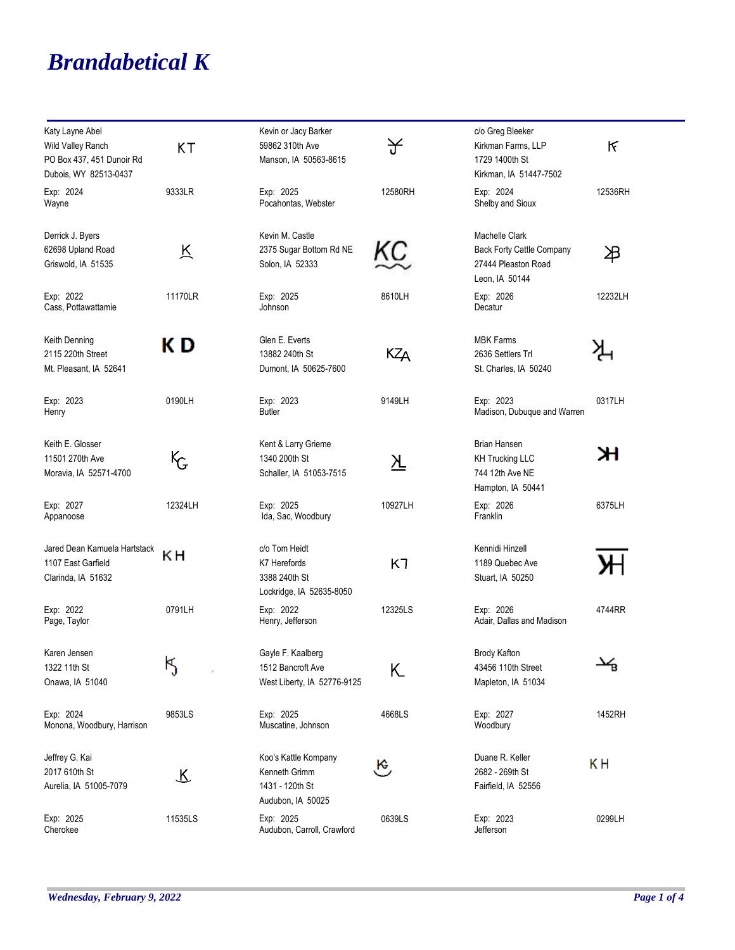## *Brandabetical K*

| Katy Layne Abel                             |           | Kevin or Jacy Barker                                      |          | c/o Greg Bleeker                                                   |         |
|---------------------------------------------|-----------|-----------------------------------------------------------|----------|--------------------------------------------------------------------|---------|
| Wild Valley Ranch                           | <b>KT</b> | 59862 310th Ave                                           | 子        | Kirkman Farms, LLP                                                 | ĸ       |
| PO Box 437, 451 Dunoir Rd                   |           | Manson, IA 50563-8615                                     |          | 1729 1400th St                                                     |         |
| Dubois, WY 82513-0437                       |           |                                                           |          | Kirkman, IA 51447-7502                                             |         |
| Exp: 2024<br>Wayne                          | 9333LR    | Exp: 2025<br>Pocahontas, Webster                          | 12580RH  | Exp: 2024<br>Shelby and Sioux                                      | 12536RH |
| Derrick J. Byers                            |           | Kevin M. Castle                                           |          | Machelle Clark                                                     |         |
| 62698 Upland Road<br>Griswold, IA 51535     | 区         | 2375 Sugar Bottom Rd NE<br>Solon, IA 52333                | KC       | Back Forty Cattle Company<br>27444 Pleaston Road<br>Leon, IA 50144 | 冶       |
| Exp: 2022<br>Cass, Pottawattamie            | 11170LR   | Exp: 2025<br>Johnson                                      | 8610LH   | Exp: 2026<br>Decatur                                               | 12232LH |
| Keith Denning                               | K D       | Glen E. Everts                                            |          | <b>MBK Farms</b>                                                   |         |
| 2115 220th Street<br>Mt. Pleasant, IA 52641 |           | 13882 240th St<br>Dumont, IA 50625-7600                   | КZд      | 2636 Settlers Trl<br>St. Charles, IA 50240                         |         |
| Exp: 2023<br>Henry                          | 0190LH    | Exp: 2023<br><b>Butler</b>                                | 9149LH   | Exp: 2023<br>Madison, Dubuque and Warren                           | 0317LH  |
| Keith E. Glosser                            |           | Kent & Larry Grieme                                       |          | <b>Brian Hansen</b>                                                |         |
| 11501 270th Ave<br>Moravia, IA 52571-4700   | ᡟᡒ        | 1340 200th St<br>Schaller, IA 51053-7515                  | <u>시</u> | <b>KH Trucking LLC</b><br>744 12th Ave NE<br>Hampton, IA 50441     | ж       |
| Exp: 2027<br>Appanoose                      | 12324LH   | Exp: 2025<br>Ida, Sac, Woodbury                           | 10927LH  | Exp: 2026<br>Franklin                                              | 6375LH  |
| Jared Dean Kamuela Hartstack                | ΚH        | c/o Tom Heidt                                             |          | Kennidi Hinzell                                                    |         |
| 1107 East Garfield<br>Clarinda, IA 51632    |           | K7 Herefords<br>3388 240th St<br>Lockridge, IA 52635-8050 | K7       | 1189 Quebec Ave<br>Stuart, IA 50250                                |         |
| Exp: 2022<br>Page, Taylor                   | 0791LH    | Exp: 2022<br>Henry, Jefferson                             | 12325LS  | Exp: 2026<br>Adair, Dallas and Madison                             | 4744RR  |
| Karen Jensen                                |           | Gayle F. Kaalberg                                         |          | <b>Brody Kafton</b>                                                |         |
| 1322 11th St<br>Onawa, IA 51040             | Ķ         | 1512 Bancroft Ave<br>West Liberty, IA 52776-9125          | Κ        | 43456 110th Street<br>Mapleton, IA 51034                           | y       |
| Exp: 2024<br>Monona, Woodbury, Harrison     | 9853LS    | Exp: 2025<br>Muscatine, Johnson                           | 4668LS   | Exp: 2027<br>Woodbury                                              | 1452RH  |
| Jeffrey G. Kai                              |           | Koo's Kattle Kompany                                      |          | Duane R. Keller                                                    | KН      |
| 2017 610th St<br>Aurelia, IA 51005-7079     | R         | Kenneth Grimm<br>1431 - 120th St<br>Audubon, IA 50025     | يع       | 2682 - 269th St<br>Fairfield, IA 52556                             |         |
| Exp: 2025<br>Cherokee                       | 11535LS   | Exp: 2025<br>Audubon, Carroll, Crawford                   | 0639LS   | Exp: 2023<br>Jefferson                                             | 0299LH  |

÷,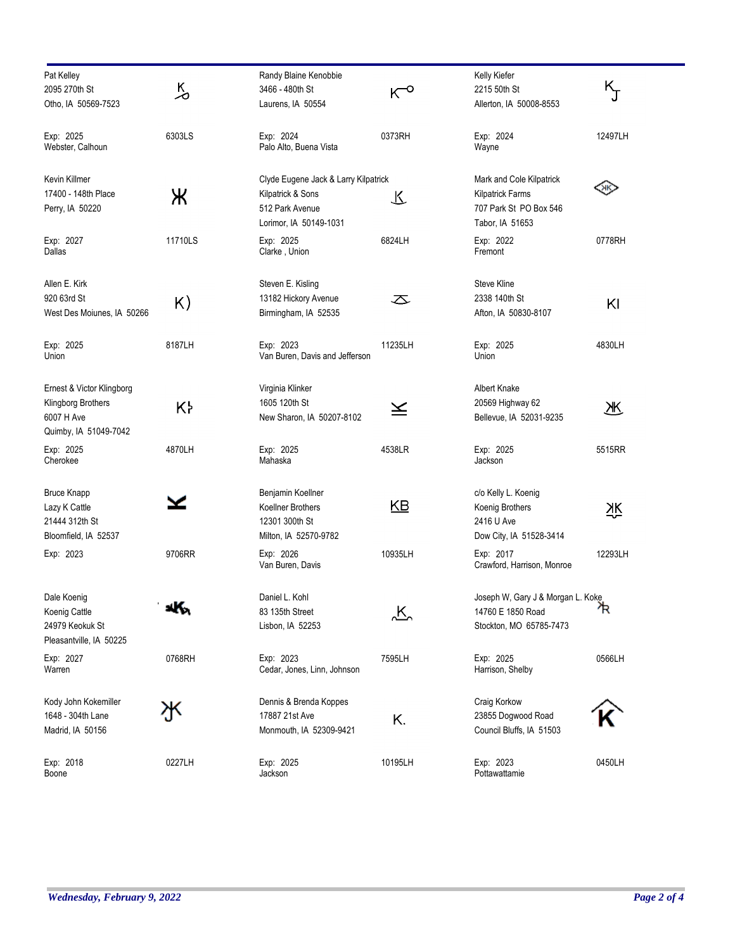| Pat Kelley                 |         | Randy Blaine Kenobbie                |           | Kelly Kiefer                      |         |
|----------------------------|---------|--------------------------------------|-----------|-----------------------------------|---------|
| 2095 270th St              | 人       | 3466 - 480th St                      | $K_{o}$   | 2215 50th St                      | ĸ<br>J  |
| Otho, IA 50569-7523        |         | Laurens, IA 50554                    |           | Allerton, IA 50008-8553           |         |
| Exp: 2025                  | 6303LS  | Exp: 2024                            | 0373RH    | Exp: 2024                         | 12497LH |
| Webster, Calhoun           |         | Palo Alto, Buena Vista               |           | Wayne                             |         |
| Kevin Killmer              |         | Clyde Eugene Jack & Larry Kilpatrick |           | Mark and Cole Kilpatrick          |         |
| 17400 - 148th Place        |         | Kilpatrick & Sons                    |           | <b>Kilpatrick Farms</b>           | QК      |
|                            | Ж       | 512 Park Avenue                      | 飞         | 707 Park St PO Box 546            |         |
| Perry, IA 50220            |         | Lorimor, IA 50149-1031               |           | Tabor, IA 51653                   |         |
|                            |         |                                      |           |                                   |         |
| Exp: 2027<br>Dallas        | 11710LS | Exp: 2025<br>Clarke, Union           | 6824LH    | Exp: 2022<br>Fremont              | 0778RH  |
| Allen E. Kirk              |         | Steven E. Kisling                    |           | Steve Kline                       |         |
| 920 63rd St                |         | 13182 Hickory Avenue                 | 运         | 2338 140th St                     |         |
| West Des Moiunes, IA 50266 | K)      | Birmingham, IA 52535                 |           | Afton, IA 50830-8107              | KI      |
|                            |         |                                      |           |                                   |         |
| Exp: 2025                  | 8187LH  | Exp: 2023                            | 11235LH   | Exp: 2025                         | 4830LH  |
| Union                      |         | Van Buren, Davis and Jefferson       |           | Union                             |         |
| Ernest & Victor Klingborg  |         | Virginia Klinker                     |           | <b>Albert Knake</b>               |         |
| Klingborg Brothers         | K۲      | 1605 120th St                        | ≚         | 20569 Highway 62                  | 冞       |
| 6007 H Ave                 |         | New Sharon, IA 50207-8102            |           | Bellevue, IA 52031-9235           |         |
| Quimby, IA 51049-7042      |         |                                      |           |                                   |         |
| Exp: 2025                  | 4870LH  | Exp: 2025                            | 4538LR    | Exp: 2025                         | 5515RR  |
| Cherokee                   |         | Mahaska                              |           | Jackson                           |         |
| <b>Bruce Knapp</b>         |         | Benjamin Koellner                    |           | c/o Kelly L. Koenig               |         |
| Lazy K Cattle              |         | Koellner Brothers                    | <u>КВ</u> | Koenig Brothers                   | 깣       |
| 21444 312th St             |         | 12301 300th St                       |           | 2416 U Ave                        |         |
| Bloomfield, IA 52537       |         | Milton, IA 52570-9782                |           | Dow City, IA 51528-3414           |         |
| Exp: 2023                  | 9706RR  | Exp: 2026                            | 10935LH   | Exp: 2017                         | 12293LH |
|                            |         | Van Buren, Davis                     |           | Crawford, Harrison, Monroe        |         |
| Dale Koenig                |         | Daniel L. Kohl                       |           | Joseph W, Gary J & Morgan L. Koke |         |
| Koenig Cattle              | ۰ĸ.     | 83 135th Street                      | <u>、K</u> | 14760 E 1850 Road                 | ኊ       |
| 24979 Keokuk St            |         | Lisbon, IA 52253                     |           | Stockton, MO 65785-7473           |         |
| Pleasantville, IA 50225    |         |                                      |           |                                   |         |
| Exp: 2027                  | 0768RH  | Exp: 2023                            | 7595LH    | Exp: 2025                         | 0566LH  |
| Warren                     |         | Cedar, Jones, Linn, Johnson          |           | Harrison, Shelby                  |         |
| Kody John Kokemiller       |         | Dennis & Brenda Koppes               |           | Craig Korkow                      |         |
| 1648 - 304th Lane          |         | 17887 21st Ave                       | K.        | 23855 Dogwood Road                |         |
| Madrid, IA 50156           |         | Monmouth, IA 52309-9421              |           | Council Bluffs, IA 51503          |         |
| Exp: 2018                  | 0227LH  | Exp: 2025                            | 10195LH   | Exp: 2023                         | 0450LH  |
| Boone                      |         | Jackson                              |           | Pottawattamie                     |         |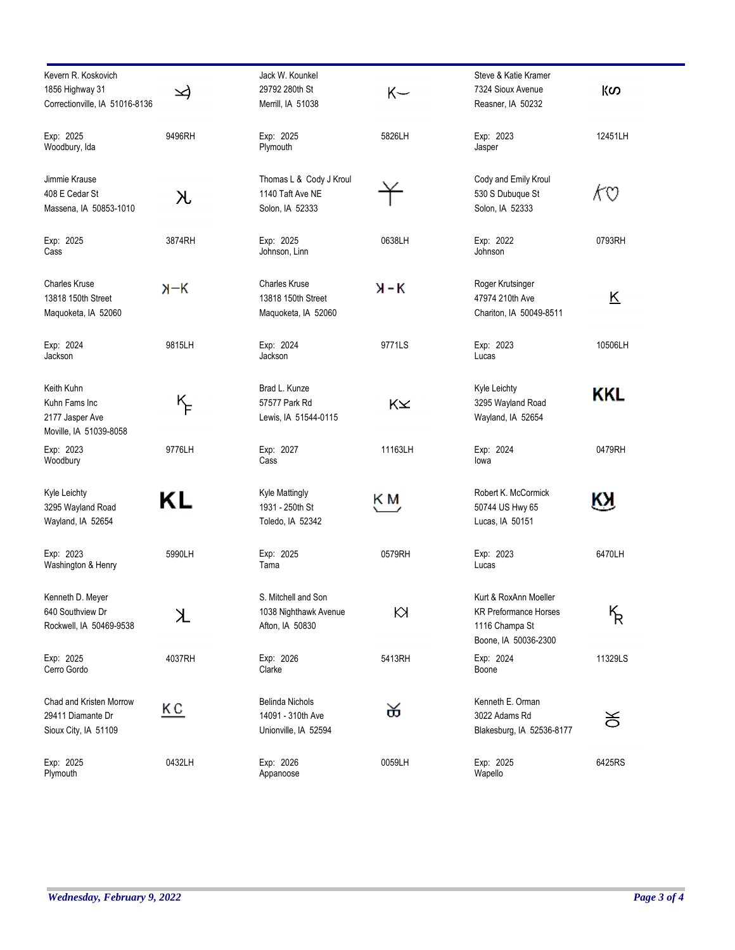| Kevern R. Koskovich<br>1856 Highway 31<br>Correctionville, IA 51016-8136 | ⊿           | Jack W. Kounkel<br>29792 280th St<br>Merrill, IA 51038              | $K-$    | Steve & Katie Kramer<br>7324 Sioux Avenue<br>Reasner, IA 50232                                  | KO                      |
|--------------------------------------------------------------------------|-------------|---------------------------------------------------------------------|---------|-------------------------------------------------------------------------------------------------|-------------------------|
| Exp: 2025<br>Woodbury, Ida                                               | 9496RH      | Exp: 2025<br>Plymouth                                               | 5826LH  | Exp: 2023<br>Jasper                                                                             | 12451LH                 |
| Jimmie Krause<br>408 E Cedar St<br>Massena, IA 50853-1010                | 入           | Thomas L & Cody J Kroul<br>1140 Taft Ave NE<br>Solon, IA 52333      |         | Cody and Emily Kroul<br>530 S Dubuque St<br>Solon, IA 52333                                     | KO                      |
| Exp: 2025<br>Cass                                                        | 3874RH      | Exp: 2025<br>Johnson, Linn                                          | 0638LH  | Exp: 2022<br>Johnson                                                                            | 0793RH                  |
| <b>Charles Kruse</b><br>13818 150th Street<br>Maquoketa, IA 52060        | $H-K$       | <b>Charles Kruse</b><br>13818 150th Street<br>Maquoketa, IA 52060   | $X - K$ | Roger Krutsinger<br>47974 210th Ave<br>Chariton, IA 50049-8511                                  | $\overline{\mathsf{K}}$ |
| Exp: 2024<br>Jackson                                                     | 9815LH      | Exp: 2024<br>Jackson                                                | 9771LS  | Exp: 2023<br>Lucas                                                                              | 10506LH                 |
| Keith Kuhn<br>Kuhn Fams Inc<br>2177 Jasper Ave<br>Moville, IA 51039-8058 | $K_{\!\!F}$ | Brad L. Kunze<br>57577 Park Rd<br>Lewis, IA 51544-0115              | KX      | Kyle Leichty<br>3295 Wayland Road<br>Wayland, IA 52654                                          | KKL                     |
| Exp: 2023<br>Woodbury                                                    | 9776LH      | Exp: 2027<br>Cass                                                   | 11163LH | Exp: 2024<br>lowa                                                                               | 0479RH                  |
| Kyle Leichty<br>3295 Wayland Road<br>Wayland, IA 52654                   | ΚL          | <b>Kyle Mattingly</b><br>1931 - 250th St<br>Toledo, IA 52342        | ĶΜ,     | Robert K. McCormick<br>50744 US Hwy 65<br>Lucas, IA 50151                                       | ĶЯ                      |
| Exp: 2023<br>Washington & Henry                                          | 5990LH      | Exp: 2025<br>Tama                                                   | 0579RH  | Exp: 2023<br>Lucas                                                                              | 6470LH                  |
| Kenneth D. Meyer<br>640 Southview Dr<br>Rockwell, IA 50469-9538          | K           | S. Mitchell and Son<br>1038 Nighthawk Avenue<br>Afton, IA 50830     | К       | Kurt & RoxAnn Moeller<br><b>KR Preformance Horses</b><br>1116 Champa St<br>Boone, IA 50036-2300 | ᠮᠷ                      |
| Exp: 2025<br>Cerro Gordo                                                 | 4037RH      | Exp: 2026<br>Clarke                                                 | 5413RH  | Exp: 2024<br>Boone                                                                              | 11329LS                 |
| Chad and Kristen Morrow<br>29411 Diamante Dr<br>Sioux City, IA 51109     | ΚC          | <b>Belinda Nichols</b><br>14091 - 310th Ave<br>Unionville, IA 52594 | ळ       | Kenneth E. Orman<br>3022 Adams Rd<br>Blakesburg, IA 52536-8177                                  | ਠ                       |
| Exp: 2025<br>Plymouth                                                    | 0432LH      | Exp: 2026<br>Appanoose                                              | 0059LH  | Exp: 2025<br>Wapello                                                                            | 6425RS                  |